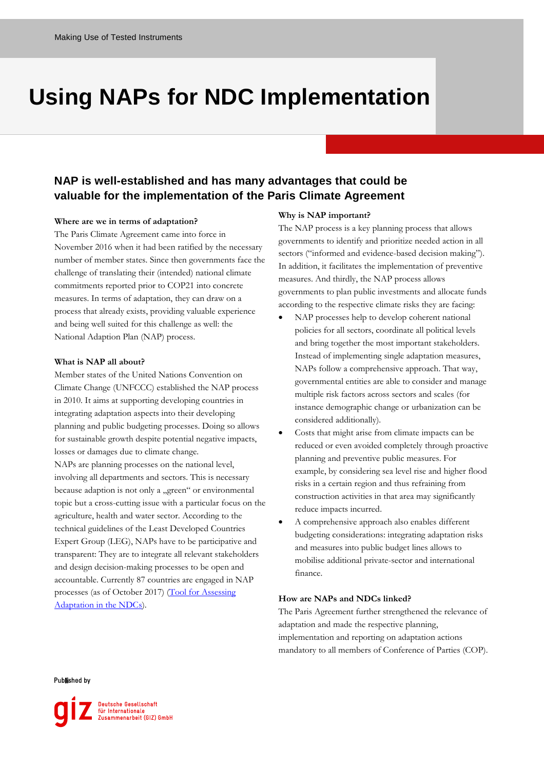# **Using NAPs for NDC Implementation**

## **NAP is well-established and has many advantages that could be valuable for the implementation of the Paris Climate Agreement**

#### **Where are we in terms of adaptation?**

The Paris Climate Agreement came into force in November 2016 when it had been ratified by the necessary number of member states. Since then governments face the challenge of translating their (intended) national climate commitments reported prior to COP21 into concrete measures. In terms of adaptation, they can draw on a process that already exists, providing valuable experience and being well suited for this challenge as well: the National Adaption Plan (NAP) process.

#### **What is NAP all about?**

Member states of the United Nations Convention on Climate Change (UNFCCC) established the NAP process in 2010. It aims at supporting developing countries in integrating adaptation aspects into their developing planning and public budgeting processes. Doing so allows for sustainable growth despite potential negative impacts, losses or damages due to climate change. NAPs are planning processes on the national level, involving all departments and sectors. This is necessary because adaption is not only a "green" or environmental topic but a cross-cutting issue with a particular focus on the agriculture, health and water sector. According to the technical guidelines of the Least Developed Countries Expert Group (LEG), NAPs have to be participative and transparent: They are to integrate all relevant stakeholders and design decision-making processes to be open and accountable. Currently 87 countries are engaged in NAP processes (as of October 2017) (Tool for Assessing [Adaptation in the NDCs\)](http://www.adaptationcommunity.net/nap-ndc/tool-assessing-adaptation-ndcs-taan/).

### **Why is NAP important?**

The NAP process is a key planning process that allows governments to identify and prioritize needed action in all sectors ("informed and evidence-based decision making"). In addition, it facilitates the implementation of preventive measures. And thirdly, the NAP process allows governments to plan public investments and allocate funds according to the respective climate risks they are facing:

- NAP processes help to develop coherent national policies for all sectors, coordinate all political levels and bring together the most important stakeholders. Instead of implementing single adaptation measures, NAPs follow a comprehensive approach. That way, governmental entities are able to consider and manage multiple risk factors across sectors and scales (for instance demographic change or urbanization can be considered additionally).
- Costs that might arise from climate impacts can be reduced or even avoided completely through proactive planning and preventive public measures. For example, by considering sea level rise and higher flood risks in a certain region and thus refraining from construction activities in that area may significantly reduce impacts incurred.
- A comprehensive approach also enables different budgeting considerations: integrating adaptation risks and measures into public budget lines allows to mobilise additional private-sector and international finance.

#### **How are NAPs and NDCs linked?**

The Paris Agreement further strengthened the relevance of adaptation and made the respective planning, implementation and reporting on adaptation actions mandatory to all members of Conference of Parties (COP).

**Published by**